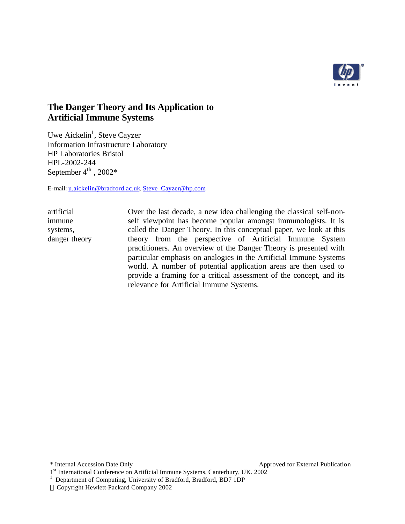

## **The Danger Theory and Its Application to Artificial Immune Systems**

Uwe Aickelin<sup>1</sup>, Steve Cayzer Information Infrastructure Laboratory HP Laboratories Bristol HPL-2002-244 September  $4^{\text{th}}$ , 2002\*

E-mail: u.aickelin@bradford.ac.uk, Steve\_Cayzer@hp.com

artificial immune systems, danger theory

Over the last decade, a new idea challenging the classical self-nonself viewpoint has become popular amongst immunologists. It is called the Danger Theory. In this conceptual paper, we look at this theory from the perspective of Artificial Immune System practitioners. An overview of the Danger Theory is presented with particular emphasis on analogies in the Artificial Immune Systems world. A number of potential application areas are then used to provide a framing for a critical assessment of the concept, and its relevance for Artificial Immune Systems.

\* Internal Accession Date Only Approved for External Publication

<sup>1&</sup>lt;sup>st</sup> International Conference on Artificial Immune Systems, Canterbury, UK. 2002

<sup>&</sup>lt;sup>1</sup> Department of Computing, University of Bradford, Bradford, BD7 1DP

Copyright Hewlett-Packard Company 2002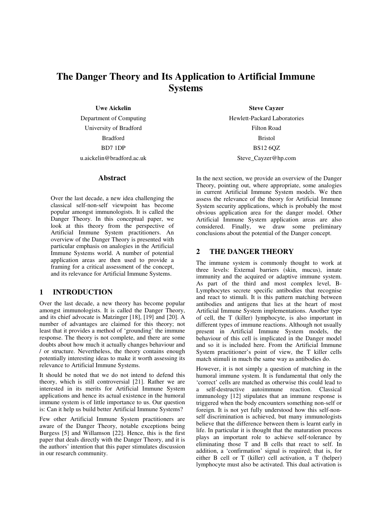# **The Danger Theory and Its Application to Artificial Immune Systems**

**Uwe Aickelin**

Department of Computing University of Bradford Bradford BD7 1DP u.aickelin@bradford.ac.uk

#### **Abstract**

Over the last decade, a new idea challenging the classical self-non-self viewpoint has become popular amongst immunologists. It is called the Danger Theory. In this conceptual paper, we look at this theory from the perspective of Artificial Immune System practitioners. An overview of the Danger Theory is presented with particular emphasis on analogies in the Artificial Immune Systems world. A number of potential application areas are then used to provide a framing for a critical assessment of the concept, and its relevance for Artificial Immune Systems.

### **1 INTRODUCTION**

Over the last decade, a new theory has become popular amongst immunologists. It is called the Danger Theory, and its chief advocate is Matzinger [18], [19] and [20]. A number of advantages are claimed for this theory; not least that it provides a method of 'grounding' the immune response. The theory is not complete, and there are some doubts about how much it actually changes behaviour and / or structure. Nevertheless, the theory contains enough potentially interesting ideas to make it worth assessing its relevance to Artificial Immune Systems.

It should be noted that we do not intend to defend this theory, which is still controversial [21]. Rather we are interested in its merits for Artificial Immune System applications and hence its actual existence in the humoral immune system is of little importance to us. Our question is: Can it help us build better Artificial Immune Systems?

Few other Artificial Immune System practitioners are aware of the Danger Theory, notable exceptions being Burgess [5] and Willamson [22]. Hence, this is the first paper that deals directly with the Danger Theory, and it is the authors' intention that this paper stimulates discussion in our research community.

**Steve Cayzer** Hewlett-Packard Laboratories Filton Road Bristol BS12 6QZ Steve\_Cayzer@hp.com

In the next section, we provide an overview of the Danger Theory, pointing out, where appropriate, some analogies in current Artificial Immune System models. We then assess the relevance of the theory for Artificial Immune System security applications, which is probably the most obvious application area for the danger model. Other Artificial Immune System application areas are also considered. Finally, we draw some preliminary conclusions about the potential of the Danger concept.

### **2 THE DANGER THEORY**

The immune system is commonly thought to work at three levels: External barriers (skin, mucus), innate immunity and the acquired or adaptive immune system. As part of the third and most complex level, B-Lymphocytes secrete specific antibodies that recognise and react to stimuli. It is this pattern matching between antibodies and antigens that lies at the heart of most Artificial Immune System implementations. Another type of cell, the T (killer) lymphocyte, is also important in different types of immune reactions. Although not usually present in Artificial Immune System models, the behaviour of this cell is implicated in the Danger model and so it is included here. From the Artificial Immune System practitioner's point of view, the T killer cells match stimuli in much the same way as antibodies do.

However, it is not simply a question of matching in the humoral immune system. It is fundamental that only the 'correct' cells are matched as otherwise this could lead to a self-destructive autoimmune reaction. Classical immunology [12] stipulates that an immune response is triggered when the body encounters something non-self or foreign. It is not yet fully understood how this self-nonself discrimination is achieved, but many immunologists believe that the difference between them is learnt early in life. In particular it is thought that the maturation process plays an important role to achieve self-tolerance by eliminating those T and B cells that react to self. In addition, a 'confirmation' signal is required; that is, for either B cell or T (killer) cell activation, a T (helper) lymphocyte must also be activated. This dual activation is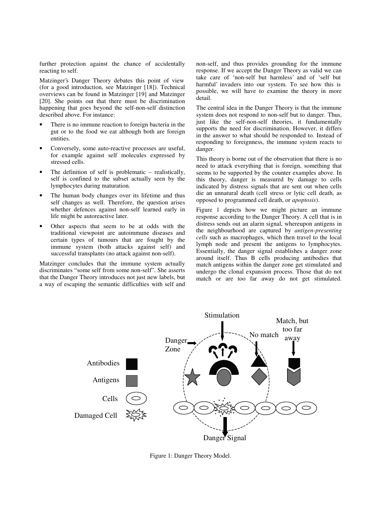further protection against the chance of accidentally reacting to self.

Matzinger's Danger Theory debates this point of view (for a good introduction, see Matzinger [18]). Technical overviews can be found in Matzinger [19] and Matzinger [20]. She points out that there must be discrimination happening that goes beyond the self-non-self distinction described above. For instance:

- There is no immune reaction to foreign bacteria in the gut or to the food we eat although both are foreign entities.
- Conversely, some auto-reactive processes are useful, for example against self molecules expressed by stressed cells.
- The definition of self is problematic  $-$  realistically, self is confined to the subset actually seen by the lymphocytes during maturation.
- The human body changes over its lifetime and thus self changes as well. Therefore, the question arises whether defences against non-self learned early in life might be autoreactive later.
- Other aspects that seem to be at odds with the traditional viewpoint are autoimmune diseases and certain types of tumours that are fought by the immune system (both attacks against self) and successful transplants (no attack against non-self).

Matzinger concludes that the immune system actually discriminates "some self from some non-self". She asserts that the Danger Theory introduces not just new labels, but a way of escaping the semantic difficulties with self and non-self, and thus provides grounding for the immune response. If we accept the Danger Theory as valid we can take care of 'non-self but harmless' and of 'self but harmful' invaders into our system. To see how this is possible, we will have to examine the theory in more detail.

The central idea in the Danger Theory is that the immune system does not respond to non-self but to danger. Thus, just like the self-non-self theories, it fundamentally supports the need for discrimination. However, it differs in the answer to what should be responded to. Instead of responding to foreignness, the immune system reacts to danger.

This theory is borne out of the observation that there is no need to attack everything that is foreign, something that seems to be supported by the counter examples above. In this theory, danger is measured by damage to cells indicated by distress signals that are sent out when cells die an unnatural death (cell stress or lytic cell death, as opposed to programmed cell death, or *apoptosis*).

Figure 1 depicts how we might picture an immune response according to the Danger Theory. A cell that is in distress sends out an alarm signal, whereupon antigens in the neighbourhood are captured by *antigen-presenting cells* such as macrophages, which then travel to the local lymph node and present the antigens to lymphocytes. Essentially, the danger signal establishes a danger zone around itself. Thus B cells producing antibodies that match antigens within the danger zone get stimulated and undergo the clonal expansion process. Those that do not match or are too far away do not get stimulated.



Figure 1: Danger Theory Model.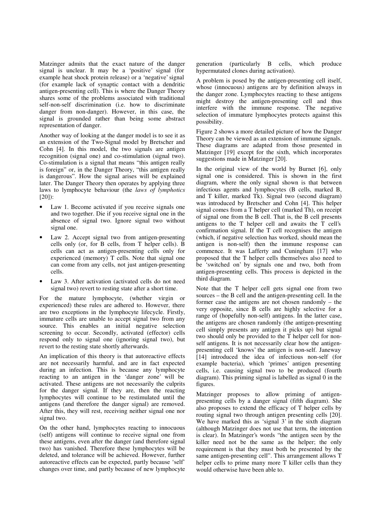Matzinger admits that the exact nature of the danger signal is unclear. It may be a 'positive' signal (for example heat shock protein release) or a 'negative' signal (for example lack of synaptic contact with a dendritic antigen-presenting cell). This is where the Danger Theory shares some of the problems associated with traditional self-non-self discrimination (i.e. how to discriminate danger from non-danger). However, in this case, the signal is grounded rather than being some abstract representation of danger.

Another way of looking at the danger model is to see it as an extension of the Two-Signal model by Bretscher and Cohn [4]. In this model, the two signals are antigen recognition (signal one) and co-stimulation (signal two). Co-stimulation is a signal that means "this antigen really is foreign" or, in the Danger Theory, "this antigen really is dangerous". How the signal arises will be explained later. The Danger Theory then operates by applying three laws to lymphocyte behaviour (the *laws of lymphotics* [20]):

- Law 1. Become activated if you receive signals one and two together. Die if you receive signal one in the absence of signal two. Ignore signal two without signal one.
- Law 2. Accept signal two from antigen-presenting cells only (or, for B cells, from T helper cells). B cells can act as antigen-presenting cells only for experienced (memory) T cells. Note that signal one can come from any cells, not just antigen-presenting cells.
- Law 3. After activation (activated cells do not need signal two) revert to resting state after a short time.

For the mature lymphocyte, (whether virgin or experienced) these rules are adhered to. However, there are two exceptions in the lymphocyte lifecycle. Firstly, immature cells are unable to accept signal two from any source. This enables an initial negative selection screening to occur. Secondly, activated (effector) cells respond only to signal one (ignoring signal two), but revert to the resting state shortly afterwards.

An implication of this theory is that autoreactive effects are not necessarily harmful, and are in fact expected during an infection. This is because any lymphocyte reacting to an antigen in the 'danger zone' will be activated. These antigens are not necessarily the culprits for the danger signal. If they are, then the reacting lymphocytes will continue to be restimulated until the antigens (and therefore the danger signal) are removed. After this, they will rest, receiving neither signal one nor signal two.

On the other hand, lymphocytes reacting to innocuous (self) antigens will continue to receive signal one from these antigens, even after the danger (and therefore signal two) has vanished. Therefore these lymphocytes will be deleted, and tolerance will be achieved. However, further autoreactive effects can be expected, partly because 'self' changes over time, and partly because of new lymphocyte

generation (particularly B cells, which produce hypermutated clones during activation).

A problem is posed by the antigen-presenting cell itself, whose (innocuous) antigens are by definition always in the danger zone. Lymphocytes reacting to these antigens might destroy the antigen-presenting cell and thus interfere with the immune response. The negative selection of immature lymphocytes protects against this possibility.

Figure 2 shows a more detailed picture of how the Danger Theory can be viewed as an extension of immune signals. These diagrams are adapted from those presented in Matzinger [19] except for the sixth, which incorporates suggestions made in Matzinger [20].

In the original view of the world by Burnet [6], only signal one is considered. This is shown in the first diagram, where the only signal shown is that between infectious agents and lymphocytes (B cells, marked B, and T killer, marked Tk). Signal two (second diagram) was introduced by Bretscher and Cohn [4]. This helper signal comes from a T helper cell (marked Th), on receipt of signal one from the B cell. That is, the B cell presents antigens to the T helper cell and awaits the T cell's confirmation signal. If the T cell recognises the antigen (which, if negative selection has worked, should mean the antigen is non-self) then the immune response can commence. It was Lafferty and Cuningham [17] who proposed that the T helper cells themselves also need to be 'switched on' by signals one and two, both from antigen-presenting cells. This process is depicted in the third diagram.

Note that the T helper cell gets signal one from two sources – the B cell and the antigen-presenting cell. In the former case the antigens are not chosen randomly – the very opposite, since B cells are highly selective for a range of (hopefully non-self) antigens. In the latter case, the antigens are chosen randomly (the antigen-presenting cell simply presents any antigen it picks up) but signal two should only be provided to the T helper cell for nonself antigens. It is not necessarily clear how the antigenpresenting cell 'knows' the antigen is non-self. Janeway [14] introduced the idea of infectious non-self (for example bacteria), which 'primes' antigen presenting cells, i.e. causing signal two to be produced (fourth diagram). This priming signal is labelled as signal 0 in the figures.

Matzinger proposes to allow priming of antigenpresenting cells by a danger signal (fifth diagram). She also proposes to extend the efficacy of T helper cells by routing signal two through antigen presenting cells [20]. We have marked this as 'signal 3' in the sixth diagram (although Matzinger does not use that term, the intention is clear). In Matzinger's words "the antigen seen by the killer need not be the same as the helper; the only requirement is that they must both be presented by the same antigen-presenting cell". This arrangement allows T helper cells to prime many more T killer cells than they would otherwise have been able to.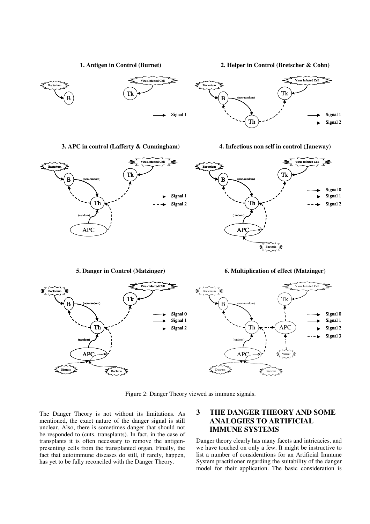

**2. Helper in Control (Bretscher & Cohn)**







**3. APC in control (Lafferty & Cunningham)**





**5. Danger in Control (Matzinger)**

**6. Multiplication of effect (Matzinger)**



Figure 2: Danger Theory viewed as immune signals.

The Danger Theory is not without its limitations. As mentioned, the exact nature of the danger signal is still unclear. Also, there is sometimes danger that should not be responded to (cuts, transplants). In fact, in the case of transplants it is often necessary to remove the antigenpresenting cells from the transplanted organ. Finally, the fact that autoimmune diseases do still, if rarely, happen, has yet to be fully reconciled with the Danger Theory.

### **3 THE DANGER THEORY AND SOME ANALOGIES TO ARTIFICIAL IMMUNE SYSTEMS**

Danger theory clearly has many facets and intricacies, and we have touched on only a few. It might be instructive to list a number of considerations for an Artificial Immune System practitioner regarding the suitability of the danger model for their application. The basic consideration is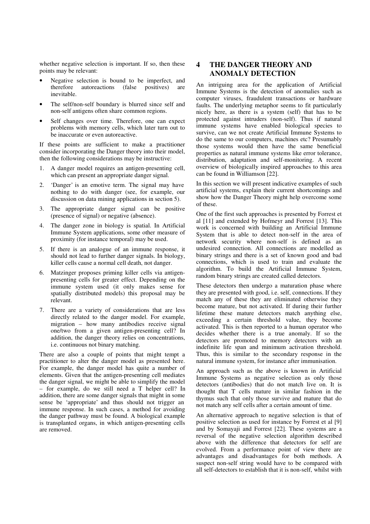whether negative selection is important. If so, then these points may be relevant:

- Negative selection is bound to be imperfect, and<br>therefore autoreactions (false positives) are autoreactions (false positives) inevitable.
- The self/non-self boundary is blurred since self and non-self antigens often share common regions.
- Self changes over time. Therefore, one can expect problems with memory cells, which later turn out to be inaccurate or even autoreactive.

If these points are sufficient to make a practitioner consider incorporating the Danger theory into their model, then the following considerations may be instructive:

- 1. A danger model requires an antigen-presenting cell, which can present an appropriate danger signal.
- 2. 'Danger' is an emotive term. The signal may have nothing to do with danger (see, for example, our discussion on data mining applications in section 5).
- 3. The appropriate danger signal can be positive (presence of signal) or negative (absence).
- 4. The danger zone in biology is spatial. In Artificial Immune System applications, some other measure of proximity (for instance temporal) may be used.
- 5. If there is an analogue of an immune response, it should not lead to further danger signals. In biology, killer cells cause a normal cell death, not danger.
- 6. Matzinger proposes priming killer cells via antigenpresenting cells for greater effect. Depending on the immune system used (it only makes sense for spatially distributed models) this proposal may be relevant.
- 7. There are a variety of considerations that are less directly related to the danger model. For example, migration – how many antibodies receive signal one/two from a given antigen-presenting cell? In addition, the danger theory relies on concentrations, i.e. continuous not binary matching.

There are also a couple of points that might tempt a practitioner to alter the danger model as presented here. For example, the danger model has quite a number of elements. Given that the antigen-presenting cell mediates the danger signal, we might be able to simplify the model – for example, do we still need a T helper cell? In addition, there are some danger signals that might in some sense be 'appropriate' and thus should not trigger an immune response. In such cases, a method for avoiding the danger pathway must be found. A biological example is transplanted organs, in which antigen-presenting cells are removed.

### **4 THE DANGER THEORY AND ANOMALY DETECTION**

An intriguing area for the application of Artificial Immune Systems is the detection of anomalies such as computer viruses, fraudulent transactions or hardware faults. The underlying metaphor seems to fit particularly nicely here, as there is a system (self) that has to be protected against intruders (non-self). Thus if natural immune systems have enabled biological species to survive, can we not create Artificial Immune Systems to do the same to our computers, machines etc? Presumably those systems would then have the same beneficial properties as natural immune systems like error tolerance, distribution, adaptation and self-monitoring. A recent overview of biologically inspired approaches to this area can be found in Williamson [22].

In this section we will present indicative examples of such artificial systems, explain their current shortcomings and show how the Danger Theory might help overcome some of these.

One of the first such approaches is presented by Forrest et al [11] and extended by Hofmeyr and Forrest [13]. This work is concerned with building an Artificial Immune System that is able to detect non-self in the area of network security where non-self is defined as an undesired connection. All connections are modelled as binary strings and there is a set of known good and bad connections, which is used to train and evaluate the algorithm. To build the Artificial Immune System, random binary strings are created called detectors.

These detectors then undergo a maturation phase where they are presented with good, i.e. self, connections. If they match any of these they are eliminated otherwise they become mature, but not activated. If during their further lifetime these mature detectors match anything else, exceeding a certain threshold value, they become activated. This is then reported to a human operator who decides whether there is a true anomaly. If so the detectors are promoted to memory detectors with an indefinite life span and minimum activation threshold. Thus, this is similar to the secondary response in the natural immune system, for instance after immunisation.

An approach such as the above is known in Artificial Immune Systems as negative selection as only those detectors (antibodies) that do not match live on. It is thought that T cells mature in similar fashion in the thymus such that only those survive and mature that do not match any self cells after a certain amount of time.

An alternative approach to negative selection is that of positive selection as used for instance by Forrest et al [9] and by Somayaji and Forrest [22]. These systems are a reversal of the negative selection algorithm described above with the difference that detectors for self are evolved. From a performance point of view there are advantages and disadvantages for both methods. A suspect non-self string would have to be compared with all self-detectors to establish that it is non-self, whilst with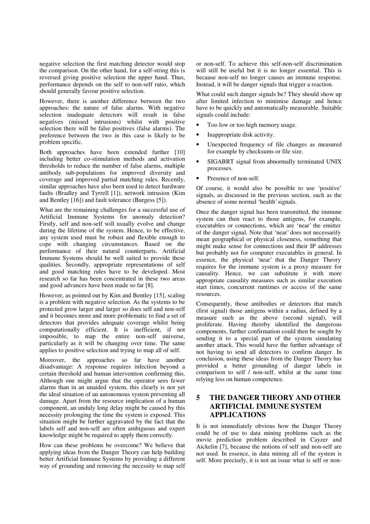negative selection the first matching detector would stop the comparison. On the other hand, for a self-string this is reversed giving positive selection the upper hand. Thus, performance depends on the self to non-self ratio, which should generally favour positive selection.

However, there is another difference between the two approaches: the nature of false alarms. With negative selection inadequate detectors will result in false negatives (missed intrusions) whilst with positive selection there will be false positives (false alarms). The preference between the two in this case is likely to be problem specific.

Both approaches have been extended further [10] including better co-stimulation methods and activation thresholds to reduce the number of false alarms, multiple antibody sub-populations for improved diversity and coverage and improved partial matching rules. Recently, similar approaches have also been used to detect hardware faults (Bradley and Tyrrell [1]), network intrusion (Kim and Bentley [16]) and fault tolerance (Burgess [5]).

What are the remaining challenges for a successful use of Artificial Immune Systems for anomaly detection? Firstly, self and non-self will usually evolve and change during the lifetime of the system. Hence, to be effective, any system used must be robust and flexible enough to cope with changing circumstances. Based on the performance of their natural counterparts, Artificial Immune Systems should be well suited to provide these qualities. Secondly, appropriate representations of self and good matching rules have to be developed. Most research so far has been concentrated in these two areas and good advances have been made so far [8].

However, as pointed out by Kim and Bentley [15], scaling is a problem with negative selection. As the systems to be protected grow larger and larger so does self and non-self and it becomes more and more problematic to find a set of detectors that provides adequate coverage whilst being computationally efficient. It is inefficient, if not impossible, to map the entire non-self universe, particularly as it will be changing over time. The same applies to positive selection and trying to map all of self.

Moreover, the approaches so far have another disadvantage: A response requires infection beyond a certain threshold and human intervention confirming this. Although one might argue that the operator sees fewer alarms than in an unaided system, this clearly is not yet the ideal situation of an autonomous system preventing all damage. Apart from the resource implication of a human component, an unduly long delay might be caused by this necessity prolonging the time the system is exposed. This situation might be further aggravated by the fact that the labels self and non-self are often ambiguous and expert knowledge might be required to apply them correctly.

How can these problems be overcome? We believe that applying ideas from the Danger Theory can help building better Artificial Immune Systems by providing a different way of grounding and removing the necessity to map self

or non-self. To achieve this self-non-self discrimination will still be useful but it is no longer essential. This is because non-self no longer causes an immune response. Instead, it will be danger signals that trigger a reaction.

What could such danger signals be? They should show up after limited infection to minimise damage and hence have to be quickly and automatically measurable. Suitable signals could include:

- Too low or too high memory usage.
- Inappropriate disk activity.
- Unexpected frequency of file changes as measured for example by checksums or file size.
- SIGABRT signal from abnormally terminated UNIX processes.
- Presence of non-self.

Of course, it would also be possible to use 'positive' signals, as discussed in the previous section, such as the absence of some normal 'health' signals.

Once the danger signal has been transmitted, the immune system can then react to those antigens, for example, executables or connections, which are 'near' the emitter of the danger signal. Note that 'near' does not necessarily mean geographical or physical closeness, something that might make sense for connections and their IP addresses but probably not for computer executables in general. In essence, the physical 'near' that the Danger Theory requires for the immune system is a proxy measure for causality. Hence, we can substitute it with more appropriate causality measures such as similar execution start times, concurrent runtimes or access of the same resources.

Consequently, those antibodies or detectors that match (first signal) those antigens within a radius, defined by a measure such as the above (second signal), will proliferate. Having thereby identified the dangerous components, further confirmation could then be sought by sending it to a special part of the system simulating another attack. This would have the further advantage of not having to send all detectors to confirm danger. In conclusion, using these ideas from the Danger Theory has provided a better grounding of danger labels in comparison to self / non-self, whilst at the same time relying less on human competence.

### **5 THE DANGER THEORY AND OTHER ARTIFICIAL IMMUNE SYSTEM APPLICATIONS**

It is not immediately obvious how the Danger Theory could be of use to data mining problems such as the movie prediction problem described in Cayzer and Aickelin [7], because the notions of self and non-self are not used. In essence, in data mining all of the system is self. More precisely, it is not an issue what is self or non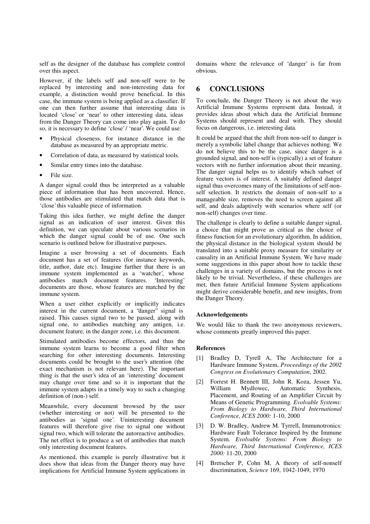self as the designer of the database has complete control over this aspect.

However, if the labels self and non-self were to be replaced by interesting and non-interesting data for example, a distinction would prove beneficial. In this case, the immune system is being applied as a classifier. If one can then further assume that interesting data is located 'close' or 'near' to other interesting data, ideas from the Danger Theory can come into play again. To do so, it is necessary to define 'close'/ 'near'. We could use:

- Physical closeness, for instance distance in the database as measured by an appropriate metric.
- Correlation of data, as measured by statistical tools.
- Similar entry times into the database.
- File size.

A danger signal could thus be interpreted as a valuable piece of information that has been uncovered. Hence, those antibodies are stimulated that match data that is 'close' this valuable piece of information.

Taking this idea further, we might define the danger signal as an indication of user interest. Given this definition, we can speculate about various scenarios in which the danger signal could be of use. One such scenario is outlined below for illustrative purposes.

Imagine a user browsing a set of documents. Each document has a set of features (for instance keywords, title, author, date etc). Imagine further that there is an immune system implemented as a 'watcher', whose antibodies match document features. 'Interesting' documents are those, whose features are matched by the immune system.

When a user either explicitly or implicitly indicates interest in the current document, a "danger" signal is raised. This causes signal two to be passed, along with signal one, to antibodies matching any antigen, i.e. document feature, in the danger zone, i.e. this document.

Stimulated antibodies become effectors, and thus the immune system learns to become a good filter when searching for other interesting documents. Interesting documents could be brought to the user's attention (the exact mechanism is not relevant here). The important thing is that the user's idea of an 'interesting' document may change over time and so it is important that the immune system adapts in a timely way to such a changing definition of (non-) self.

Meanwhile, every document browsed by the user (whether interesting or not) will be presented to the antibodies as 'signal one'. Uninteresting document features will therefore give rise to signal one without signal two, which will tolerate the autoreactive antibodies. The net effect is to produce a set of antibodies that match only interesting document features.

As mentioned, this example is purely illustrative but it does show that ideas from the Danger theory may have implications for Artificial Immune System applications in

domains where the relevance of 'danger' is far from obvious.

#### **6 CONCLUSIONS**

To conclude, the Danger Theory is not about the way Artificial Immune Systems represent data. Instead, it provides ideas about which data the Artificial Immune Systems should represent and deal with. They should focus on dangerous, i.e. interesting data.

It could be argued that the shift from non-self to danger is merely a symbolic label change that achieves nothing. We do not believe this to be the case, since danger is a grounded signal, and non-self is (typically) a set of feature vectors with no further information about their meaning. The danger signal helps us to identify which subset of feature vectors is of interest. A suitably defined danger signal thus overcomes many of the limitations of self-nonself selection. It restricts the domain of non-self to a manageable size, removes the need to screen against all self, and deals adaptively with scenarios where self (or non-self) changes over time.

The challenge is clearly to define a suitable danger signal, a choice that might prove as critical as the choice of fitness function for an evolutionary algorithm. In addition, the physical distance in the biological system should be translated into a suitable proxy measure for similarity or causality in an Artificial Immune System. We have made some suggestions in this paper about how to tackle these challenges in a variety of domains, but the process is not likely to be trivial. Nevertheless, if these challenges are met, then future Artificial Immune System applications might derive considerable benefit, and new insights, from the Danger Theory.

#### **Acknowledgements**

We would like to thank the two anonymous reviewers, whose comments greatly improved this paper.

#### **References**

- [1] Bradley D, Tyrell A, The Architecture for a Hardware Immune System, *Proceedings of the 2002 Congress on Evolutionary Computation*, 2002.
- [2] Forrest H. Bennett III, John R. Koza, Jessen Yu, William Mydlowec, Automatic Synthesis, Placement, and Routing of an Amplifier Circuit by Means of Genetic Programming. *Evolvable Systems: From Biology to Hardware, Third International Conference, ICES 2000:* 1-10, 2000
- [3] D. W. Bradley, Andrew M. Tyrrell, Immunotronics: Hardware Fault Tolerance Inspired by the Immune System. *Evolvable Systems: From Biology to Hardware, Third International Conference, ICES 2000:* 11-20, 2000
- [4] Bretscher P, Cohn M, A theory of self-nonself discrimination, *Science* 169, 1042-1049, 1970